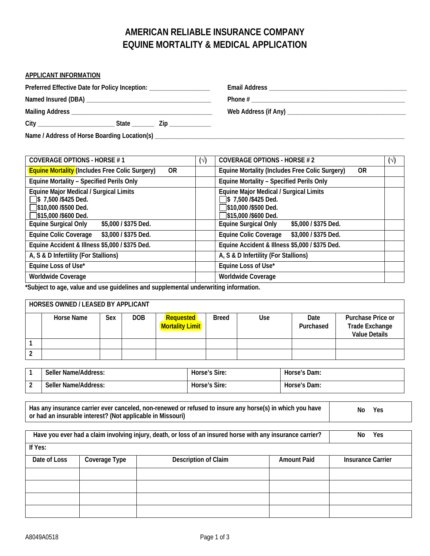## **AMERICAN RELIABLE INSURANCE COMPANY EQUINE MORTALITY & MEDICAL APPLICATION**

| <b>APPLICANT INFORMATION</b>                                        |  |
|---------------------------------------------------------------------|--|
| Preferred Effective Date for Policy Inception: ____________________ |  |
|                                                                     |  |
|                                                                     |  |
|                                                                     |  |
|                                                                     |  |

| <b>COVERAGE OPTIONS - HORSE #1</b>                                                                                                | $(\vee)$ | <b>COVERAGE OPTIONS - HORSE #2</b>                                                                             | $(\vee)$ |
|-----------------------------------------------------------------------------------------------------------------------------------|----------|----------------------------------------------------------------------------------------------------------------|----------|
| <b>Equine Mortality (Includes Free Colic Surgery)</b><br>0R                                                                       |          | Equine Mortality (Includes Free Colic Surgery)<br>0R                                                           |          |
| <b>Equine Mortality - Specified Perils Only</b>                                                                                   |          | <b>Equine Mortality - Specified Perils Only</b>                                                                |          |
| Equine Major Medical / Surgical Limits<br>$\sqrt{ }$ \$ 7,500 /\$425 Ded.<br>S10,000 /\$500 Ded.<br>$\sqrt{\$15,000\}/\$600$ Ded. |          | Equine Major Medical / Surgical Limits<br>S 7,500 /\$425 Ded.<br>\$10,000 /\$500 Ded.<br>]\$15,000 /\$600 Ded. |          |
| <b>Equine Surgical Only</b><br>\$5,000 / \$375 Ded.                                                                               |          | <b>Equine Surgical Only</b><br>\$5,000 / \$375 Ded.                                                            |          |
| Equine Colic Coverage<br>\$3,000 / \$375 Ded.                                                                                     |          | \$3,000 / \$375 Ded.<br><b>Equine Colic Coverage</b>                                                           |          |
| Equine Accident & Illness \$5,000 / \$375 Ded.                                                                                    |          | Equine Accident & Illness \$5,000 / \$375 Ded.                                                                 |          |
| A, S & D Infertility (For Stallions)                                                                                              |          | A, S & D Infertility (For Stallions)                                                                           |          |
| Equine Loss of Use*                                                                                                               |          | Equine Loss of Use*                                                                                            |          |
| Worldwide Coverage<br>.                                                                                                           |          | <b>Worldwide Coverage</b>                                                                                      |          |

**\*Subject to age, value and use guidelines and supplemental underwriting information.**

| HORSES OWNED / LEASED BY APPLICANT |     |     |                                     |              |     |                   |                                                                    |  |
|------------------------------------|-----|-----|-------------------------------------|--------------|-----|-------------------|--------------------------------------------------------------------|--|
| <b>Horse Name</b>                  | Sex | DOB | Requested<br><b>Mortality Limit</b> | <b>Breed</b> | Use | Date<br>Purchased | Purchase Price or<br><b>Trade Exchange</b><br><b>Value Details</b> |  |
|                                    |     |     |                                     |              |     |                   |                                                                    |  |
|                                    |     |     |                                     |              |     |                   |                                                                    |  |

| Seller Name/Address: | Horse's Sire: | Horse's Dam: |
|----------------------|---------------|--------------|
| Seller Name/Address: | Horse's Sire: | Horse's Dam: |

| Has any insurance carrier ever canceled, non-renewed or refused to insure any horse(s) in which you have | Yes<br>No |
|----------------------------------------------------------------------------------------------------------|-----------|
| or had an insurable interest? (Not applicable in Missouri)                                               |           |

| Have you ever had a claim involving injury, death, or loss of an insured horse with any insurance carrier? | Yes<br>Nο                                                   |  |  |  |  |
|------------------------------------------------------------------------------------------------------------|-------------------------------------------------------------|--|--|--|--|
| If Yes:                                                                                                    |                                                             |  |  |  |  |
| Date of Loss                                                                                               | Description of Claim<br><b>Amount Paid</b><br>Coverage Type |  |  |  |  |
|                                                                                                            |                                                             |  |  |  |  |
|                                                                                                            |                                                             |  |  |  |  |
|                                                                                                            |                                                             |  |  |  |  |
|                                                                                                            |                                                             |  |  |  |  |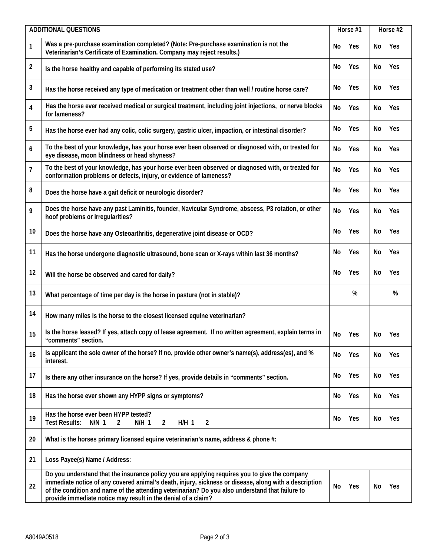| <b>ADDITIONAL QUESTIONS</b> |                                                                                                                                                                                                                                                                                                                                                                            |    | Horse #1 |    | Horse #2 |  |
|-----------------------------|----------------------------------------------------------------------------------------------------------------------------------------------------------------------------------------------------------------------------------------------------------------------------------------------------------------------------------------------------------------------------|----|----------|----|----------|--|
| 1                           | Was a pre-purchase examination completed? (Note: Pre-purchase examination is not the<br>Veterinarian's Certificate of Examination. Company may reject results.)                                                                                                                                                                                                            | No | Yes      | No | Yes      |  |
| $\overline{\mathbf{c}}$     | Is the horse healthy and capable of performing its stated use?                                                                                                                                                                                                                                                                                                             | No | Yes      | No | Yes      |  |
| 3                           | Has the horse received any type of medication or treatment other than well / routine horse care?                                                                                                                                                                                                                                                                           | No | Yes      | No | Yes      |  |
| 4                           | Has the horse ever received medical or surgical treatment, including joint injections, or nerve blocks<br>for lameness?                                                                                                                                                                                                                                                    | No | Yes      | No | Yes      |  |
| 5                           | Has the horse ever had any colic, colic surgery, gastric ulcer, impaction, or intestinal disorder?                                                                                                                                                                                                                                                                         | No | Yes      | No | Yes      |  |
| 6                           | To the best of your knowledge, has your horse ever been observed or diagnosed with, or treated for<br>eye disease, moon blindness or head shyness?                                                                                                                                                                                                                         | No | Yes      | No | Yes      |  |
| $\overline{7}$              | To the best of your knowledge, has your horse ever been observed or diagnosed with, or treated for<br>conformation problems or defects, injury, or evidence of lameness?                                                                                                                                                                                                   | No | Yes      | No | Yes      |  |
| 8                           | Does the horse have a gait deficit or neurologic disorder?                                                                                                                                                                                                                                                                                                                 | No | Yes      | No | Yes      |  |
| 9                           | Does the horse have any past Laminitis, founder, Navicular Syndrome, abscess, P3 rotation, or other<br>hoof problems or irregularities?                                                                                                                                                                                                                                    | No | Yes      | No | Yes      |  |
| 10                          | Does the horse have any Osteoarthritis, degenerative joint disease or OCD?                                                                                                                                                                                                                                                                                                 | No | Yes      | No | Yes      |  |
| 11                          | Has the horse undergone diagnostic ultrasound, bone scan or X-rays within last 36 months?                                                                                                                                                                                                                                                                                  | No | Yes      | No | Yes      |  |
| 12                          | Will the horse be observed and cared for daily?                                                                                                                                                                                                                                                                                                                            | No | Yes      | No | Yes      |  |
| 13                          | What percentage of time per day is the horse in pasture (not in stable)?                                                                                                                                                                                                                                                                                                   |    | %        |    | %        |  |
| 14                          | How many miles is the horse to the closest licensed equine veterinarian?                                                                                                                                                                                                                                                                                                   |    |          |    |          |  |
| 15                          | Is the horse leased? If yes, attach copy of lease agreement. If no written agreement, explain terms in<br>'comments″ section.                                                                                                                                                                                                                                              | No | Yes      | No | Yes      |  |
| 16                          | Is applicant the sole owner of the horse? If no, provide other owner's name(s), address(es), and %<br>interest.                                                                                                                                                                                                                                                            | No | Yes      | No | Yes      |  |
| 17                          | Is there any other insurance on the horse? If yes, provide details in "comments" section.                                                                                                                                                                                                                                                                                  | No | Yes      | No | Yes      |  |
| 18                          | Has the horse ever shown any HYPP signs or symptoms?                                                                                                                                                                                                                                                                                                                       | No | Yes      | No | Yes      |  |
| 19                          | Has the horse ever been HYPP tested?<br><b>Test Results:</b><br>$N/N$ 1<br>$\overline{2}$<br>$N/H$ 1<br>$H/H$ 1<br>$\overline{2}$<br>2                                                                                                                                                                                                                                     | No | Yes      | No | Yes      |  |
| 20                          | What is the horses primary licensed equine veterinarian's name, address & phone #:                                                                                                                                                                                                                                                                                         |    |          |    |          |  |
| 21                          | Loss Payee(s) Name / Address:                                                                                                                                                                                                                                                                                                                                              |    |          |    |          |  |
| 22                          | Do you understand that the insurance policy you are applying requires you to give the company<br>immediate notice of any covered animal's death, injury, sickness or disease, along with a description<br>of the condition and name of the attending veterinarian? Do you also understand that failure to<br>provide immediate notice may result in the denial of a claim? | No | Yes      | No | Yes      |  |